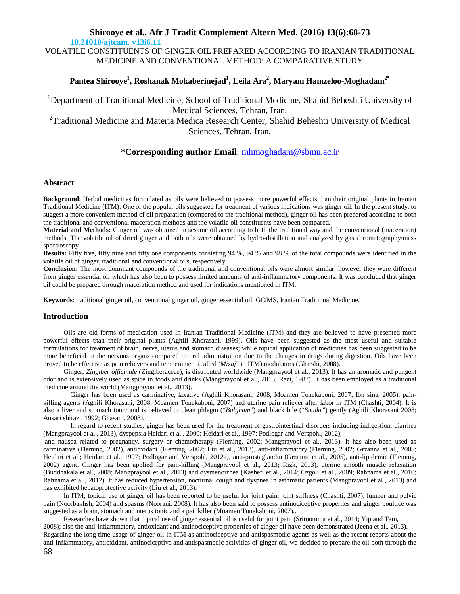# **Shirooye et al., Afr J Tradit Complement Altern Med. (2016) 13(6):68-73 10.21010/ajtcam. v13i6.11** VOLATILE CONSTITUENTS OF GINGER OIL PREPARED ACCORDING TO IRANIAN TRADITIONAL MEDICINE AND CONVENTIONAL METHOD: A COMPARATIVE STUDY

# **Pantea Shirooye<sup>1</sup> , Roshanak Mokaberinejad<sup>1</sup> , Leila Ara<sup>2</sup> , Maryam Hamzeloo-Moghadam2\***

<sup>1</sup>Department of Traditional Medicine, School of Traditional Medicine, Shahid Beheshti University of Medical Sciences, Tehran, Iran.

<sup>2</sup>Traditional Medicine and Materia Medica Research Center, Shahid Beheshti University of Medical Sciences, Tehran, Iran.

# **\*Corresponding author Email**: mhmoghadam@sbmu.ac.ir

## **Abstract**

**Background**: Herbal medicines formulated as oils were believed to possess more powerful effects than their original plants in Iranian Traditional Medicine (ITM). One of the popular oils suggested for treatment of various indications was ginger oil. In the present study, to suggest a more convenient method of oil preparation (compared to the traditional method), ginger oil has been prepared according to both the traditional and conventional maceration methods and the volatile oil constituents have been compared.

**Material and Methods:** Ginger oil was obtained in sesame oil according to both the traditional way and the conventional (maceration) methods. The volatile oil of dried ginger and both oils were obtained by hydro-distillation and analyzed by gas chromatography/mass spectroscopy.

**Results:** Fifty five, fifty nine and fifty one components consisting 94 %, 94 % and 98 % of the total compounds were identified in the volatile oil of ginger, traditional and conventional oils, respectively.

**Conclusion:** The most dominant compounds of the traditional and conventional oils were almost similar; however they were different from ginger essential oil which has also been to possess limited amounts of anti-inflammatory components. It was concluded that ginger oil could be prepared through maceration method and used for indications mentioned in ITM.

**Keywords**: traditional ginger oil, conventional ginger oil, ginger essential oil, GC/MS, Iranian Traditional Medicine.

## **Introduction**

Oils are old forms of medication used in Iranian Traditional Medicine (ITM) and they are believed to have presented more powerful effects than their original plants (Aghili Khorasani, 1999). Oils have been suggested as the most useful and suitable formulations for treatment of brain, nerve, uterus and stomach diseases; while topical application of medicines has been suggested to be more beneficial in the nervous organs compared to oral administration due to the changes in drugs during digestion. Oils have been proved to be effective as pain relievers and temperament (called '*Mizaj*" in ITM) modulators (Gharshi, 2008).

Ginger, *Zingiber officinale* (Zingiberaceae), is distributed worldwide (Mangprayool et al., 2013). It has an aromatic and pungent odor and is extensively used as spice in foods and drinks (Mangprayool et al., 2013; Razi, 1987). It has been employed as a traditional medicine around the world (Mangprayool et al., 2013).

Ginger has been used as carminative, laxative (Aghili Khorasani, 2008; Moamen Tonekaboni, 2007; Ibn sina, 2005), painkilling agents (Aghili Khorasani, 2008; Moamen Tonekaboni, 2007) and uterine pain reliever after labor in ITM (Chashti, 2004). It is also a liver and stomach tonic and is believed to clean phlegm ("*Balgham*") and black bile ("*Sauda"*) gently (Aghili Khorasani 2008; Ansari shirazi, 1992; Ghasani, 2008).

In regard to recent studies, ginger has been used for the treatment of gastrointestinal disorders including indigestion, diarrhea (Mangprayool et al., 2013), dyspepsia Heidari et al., 2000; Heidari et al., 1997; Podlogar and Verspohl, 2012),

and nausea related to pregnancy, surgery or chemotherapy (Fleming, 2002; Mangprayool et al., 2013). It has also been used as carminative (Fleming, 2002), antioxidant (Fleming, 2002; Liu et al., 2013), anti-inflammatory (Fleming, 2002; Grzanna et al., 2005; Heidari et al.; Heidari et al., 1997; Podlogar and Verspohl, 2012a), anti-prostaglandin (Grzanna et al., 2005), anti-lipidemic (Fleming, 2002) agent. Ginger has been applied for pain-killing (Mangprayool et al., 2013; Rizk, 2013), uterine smooth muscle relaxation (Buddhakala et al., 2008; Mangprayool et al., 2013) and dysmenorrhea (Kashefi et al., 2014; Ozgoli et al., 2009; Rahnama et al., 2010; Rahnama et al., 2012). It has reduced hypertension, nocturnal cough and dyspnea in asthmatic patients (Mangprayool et al., 2013) and has exhibited hepatoprotective activity (Liu et al., 2013).

In ITM, topical use of ginger oil has been reported to be useful for joint pain, joint stiffness (Chashti, 2007), lumbar and pelvic pain (Noorbakhsh; 2004) and spasms (Noorani, 2008). It has also been said to possess antinociceptive properties and ginger poultice was suggested as a brain, stomach and uterus tonic and a painkiller (Moamen Tonekaboni, 2007)..

Researches have shown that topical use of ginger essential oil is useful for joint pain (Sritoomma et al., 2014; Yip and Tam, 2008); also the anti-inflammatory, antioxidant and antinociceptive properties of ginger oil have been demonstrated (Jeena et al., 2013). Regarding the long time usage of ginger oil in ITM as antinociceptive and antispasmodic agents as well as the recent reports about the anti-inflammatory, antioxidant, antinociceptive and antispasmodic activities of ginger oil, we decided to prepare the oil both through the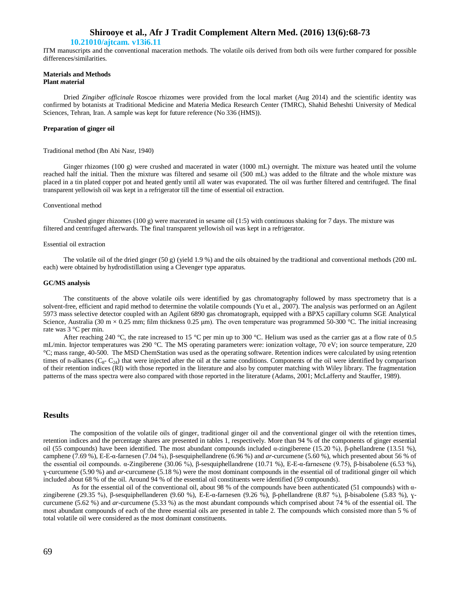## **Shirooye et al., Afr J Tradit Complement Altern Med. (2016) 13(6):68-73**

### **10.21010/ajtcam. v13i6.11**

ITM manuscripts and the conventional maceration methods. The volatile oils derived from both oils were further compared for possible differences/similarities.

#### **Materials and Methods Plant** *m***aterial**

Dried *Zingiber officinale* Roscoe rhizomes were provided from the local market (Aug 2014) and the scientific identity was confirmed by botanists at Traditional Medicine and Materia Medica Research Center (TMRC), Shahid Beheshti University of Medical Sciences, Tehran, Iran. A sample was kept for future reference (No 336 (HMS)).

#### **Preparation of ginger oil**

#### Traditional method (Ibn Abi Nasr, 1940)

Ginger rhizomes (100 g) were crushed and macerated in water (1000 mL) overnight. The mixture was heated until the volume reached half the initial. Then the mixture was filtered and sesame oil (500 mL) was added to the filtrate and the whole mixture was placed in a tin plated copper pot and heated gently until all water was evaporated. The oil was further filtered and centrifuged. The final transparent yellowish oil was kept in a refrigerator till the time of essential oil extraction.

#### Conventional method

Crushed ginger rhizomes (100 g) were macerated in sesame oil (1:5) with continuous shaking for 7 days. The mixture was filtered and centrifuged afterwards. The final transparent yellowish oil was kept in a refrigerator.

### Essential oil extraction

The volatile oil of the dried ginger (50 g) (yield 1.9 %) and the oils obtained by the traditional and conventional methods (200 mL each) were obtained by hydrodistillation using a Clevenger type apparatus.

#### **GC/MS analysis**

The constituents of the above volatile oils were identified by gas chromatography followed by mass spectrometry that is a solvent-free, efficient and rapid method to determine the volatile compounds (Yu et al., 2007). The analysis was performed on an Agilent 5973 mass selective detector coupled with an Agilent 6890 gas chromatograph, equipped with a BPX5 capillary column SGE Analytical Science, Australia (30 m  $\times$  0.25 mm; film thickness 0.25 µm). The oven temperature was programmed 50-300 °C. The initial increasing rate was 3 °C per min.

After reaching 240 °C, the rate increased to 15 °C per min up to 300 °C. Helium was used as the carrier gas at a flow rate of 0.5 mL/min. Injector temperatures was 290 °C. The MS operating parameters were: ionization voltage, 70 eV; ion source temperature, 220 °C; mass range, 40-500. The MSD ChemStation was used as the operating software. Retention indices were calculated by using retention times of n-alkanes ( $C_8$ -  $C_{24}$ ) that were injected after the oil at the same conditions. Components of the oil were identified by comparison of their retention indices (RI) with those reported in the literature and also by computer matching with Wiley library. The fragmentation patterns of the mass spectra were also compared with those reported in the literature (Adams, 2001; McLafferty and Stauffer, 1989).

#### **Results**

The composition of the volatile oils of ginger, traditional ginger oil and the conventional ginger oil with the retention times, retention indices and the percentage shares are presented in tables 1, respectively. More than 94 % of the components of ginger essential oil (55 compounds) have been identified. The most abundant compounds included α-zingiberene (15.20 %), β-phellandrene (13.51 %), camphene (7.69 %), E-E-α-farnesen (7.04 %), β-sesquiphellandrene (6.96 %) and *ar*-curcumene (5.60 %), which presented about 56 % of the essential oil compounds. α-Zingiberene (30.06 %), β-sesquiphellandrene (10.71 %), E-E-α-farnesene (9.75), β-bisabolene (6.53 %), ɣ-curcumene (5.90 %) and *ar*-curcumene (5.18 %) were the most dominant compounds in the essential oil of traditional ginger oil which included about 68 % of the oil. Around 94 % of the essential oil constituents were identified (59 compounds).

As for the essential oil of the conventional oil, about 98 % of the compounds have been authenticated (51 compounds) with  $\alpha$ zingiberene (29.35 %), β-sesquiphellanderen (9.60 %), E-E-α-farnesen (9.26 %), β-phellandrene (8.87 %), β-bisabolene (5.83 %), ɣcurcumene (5.62 %) and *ar*-curcumene (5.33 %) as the most abundant compounds which comprised about 74 % of the essential oil. The most abundant compounds of each of the three essential oils are presented in table 2. The compounds which consisted more than 5 % of total volatile oil were considered as the most dominant constituents.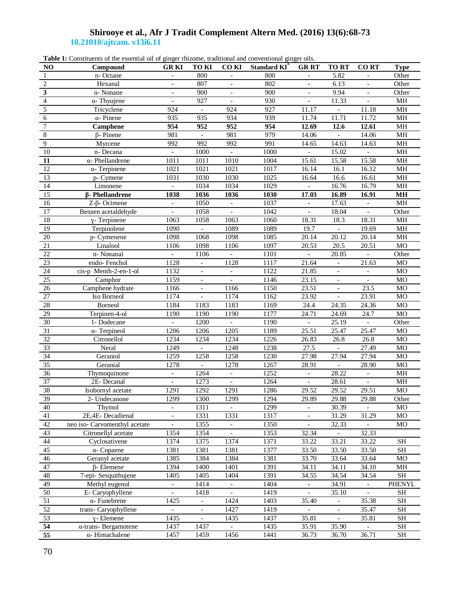# **Shirooye et al., Afr J Tradit Complement Altern Med. (2016) 13(6):68-73 10.21010/ajtcam. v13i6.11**

|  |  | Table 1: Constituents of the essential oil of ginger rhizome, traditional and conventional ginger oils. |
|--|--|---------------------------------------------------------------------------------------------------------|
|  |  |                                                                                                         |

| NO                       | Compound                      | <b>GRKI</b>               | <b>TO KI</b>             | CO KI                    | Standard KI <sup>*</sup> | <b>GR RT</b>              | <b>TO RT</b>             | CORT                      | <b>Type</b>         |
|--------------------------|-------------------------------|---------------------------|--------------------------|--------------------------|--------------------------|---------------------------|--------------------------|---------------------------|---------------------|
| 1                        | n-Octane                      |                           | 800                      |                          | 800                      | $\overline{\phantom{a}}$  | 5.82                     |                           | Other               |
| $\sqrt{2}$               | Hexanal                       |                           | 807                      |                          | 802                      |                           | 6.13                     | $\overline{\phantom{0}}$  | Other               |
| $\mathbf{3}$             | n-Nonane                      | $\overline{a}$            | 900                      | $\overline{a}$           | 900                      | $\overline{\phantom{a}}$  | 9.94                     | $\overline{a}$            | Other               |
| $\overline{\mathcal{L}}$ | $\alpha$ - Thyujene           | $\overline{\phantom{a}}$  | 927                      | $\overline{\phantom{0}}$ | 930                      | $\overline{\phantom{a}}$  | 11.33                    | $\blacksquare$            | MH                  |
| $\overline{5}$           | Tricyclene                    | 924                       | $\overline{\phantom{a}}$ | 924                      | 927                      | 11.17                     | $\overline{\phantom{a}}$ | 11.18                     | MH                  |
| 6                        | $\alpha$ - Pinene             | 935                       | 935                      | 934                      | 939                      | 11.74                     | 11.71                    | 11.72                     | MH                  |
| $\boldsymbol{7}$         | Camphene                      | 954                       | 952                      | 952                      | 954                      | 12.69                     | 12.6                     | 12.61                     | MH                  |
| $\overline{8}$           | $\beta$ - Pinene              | 981                       | $\sim$                   | 981                      | 979                      | 14.06                     | $\overline{\phantom{0}}$ | 14.06                     | $\mathbf{MH}$       |
| 9                        | Myrcene                       | 992                       | 992                      | 992                      | 991                      | 14.65                     | 14.63                    | 14.63                     | MH                  |
| 10                       | n-Decana                      | $\overline{\phantom{0}}$  | 1000                     | $\overline{\phantom{a}}$ | 1000                     | $\overline{\phantom{a}}$  | 15.02                    | $\blacksquare$            | MH                  |
| 11                       | $\alpha$ - Phellandrene       | 1011                      | 1011                     | 1010                     | 1004                     | 15.61                     | 15.58                    | 15.58                     | MH                  |
| $\overline{12}$          | $\alpha$ - Terpinene          | 1021                      | 1021                     | 1021                     | 1017                     | 16.14                     | 16.1                     | 16.12                     | MH                  |
| 13                       | p-Cymene                      | 1031                      | 1030                     | 1030                     | 1025                     | 16.64                     | 16.6                     | 16.61                     | MH                  |
| 14                       | Limonene                      | $\frac{1}{2}$             | 1034                     | 1034                     | 1029                     | $\overline{\phantom{a}}$  | 16.76                    | 16.79                     | MH                  |
| 15                       | <b>β-Phellandrene</b>         | 1038                      | 1036                     | 1036                     | 1030                     | 17.03                     | 16.89                    | 16.91                     | $\mathbf{MH}$       |
| 16                       | $Z$ -β- Ocimene               | $\overline{\phantom{a}}$  | 1050                     | $\overline{\phantom{0}}$ | 1037                     | $\overline{\phantom{a}}$  | 17.63                    | $\overline{\phantom{a}}$  | MH                  |
| 17                       | Benzen acetaldehyde           | $\overline{a}$            | 1058                     | $\overline{\phantom{0}}$ | 1042                     | $\overline{\phantom{a}}$  | 18.04                    |                           | Other               |
| 18                       | y-Terpinene                   | 1063                      | 1058                     | 1063                     | 1060                     | 18.31                     | 18.3                     | 18.31                     | MH                  |
| $\overline{19}$          | Terpinolene                   | 1090                      |                          | 1089                     | 1089                     | 19.7                      |                          | 19.69                     | $\overline{MH}$     |
| $20\,$                   | p- Cymenene                   | 1098                      | 1068                     | 1098                     | 1085                     | 20.14                     | 20.12                    | 20.14                     | MH                  |
| 21                       | Linalool                      | 1106                      | 1098                     | 1106                     | 1097                     | 20.53                     | 20.5                     | 20.51                     | MO                  |
| 22                       | $\overline{n}$ - Nonanal      | $\overline{\phantom{0}}$  | 1106                     | $\overline{\phantom{0}}$ | 1101                     | $\overline{\phantom{a}}$  | 20.85                    | $\overline{\phantom{0}}$  | Other               |
| $\overline{23}$          | endo-Fenchol                  | 1128                      | $\overline{\phantom{a}}$ | 1128                     | 1117                     | 21.64                     | $\overline{\phantom{a}}$ | 21.63                     | MO                  |
| 24                       | cis-p Menth-2-en-1-ol         | 1132                      | $\overline{\phantom{a}}$ | $\overline{\phantom{a}}$ | 1122                     | 21.85                     | $\overline{\phantom{a}}$ | $\overline{\phantom{a}}$  | $_{\rm MO}$         |
| 25                       | Camphor                       | 1159                      | $\overline{\phantom{a}}$ | $\overline{\phantom{0}}$ | 1146                     | 23.15                     | $\overline{\phantom{a}}$ |                           | MO                  |
| $26\,$                   | Camphene hydrate              | 1166                      |                          | 1166                     | 1150                     | 23.51                     | $\qquad \qquad -$        | 23.5                      | MO                  |
| 27                       | Iso Borneol                   | 1174                      |                          | 1174                     | 1162                     | 23.92                     | $\overline{\phantom{0}}$ | 23.91                     | MO                  |
| 28                       | Borneol                       | 1184                      | 1183                     | 1183                     | 1169                     | 24.4                      | 24.35                    | 24.36                     | MO                  |
| 29                       | Terpinen-4-ol                 | 1190                      | 1190                     | 1190                     | 1177                     | 24.71                     | 24.69                    | 24.7                      | MO                  |
| 30                       | 1- Dodecane                   | $\mathbb{Z}^{\mathbb{Z}}$ | 1200                     | $\overline{\phantom{a}}$ | 1190                     | $\mathbb{L}$              | 25.19                    | $\overline{a}$            | Other               |
| 31                       | $\alpha$ - Terpineol          | 1206                      | 1206                     | 1205                     | 1189                     | 25.51                     | 25.47                    | 25.47                     | MO                  |
| 32                       | Citronellol                   | 1234                      | 1234                     | 1234                     | 1226                     | 26.83                     | 26.8                     | 26.8                      | MO                  |
| 33                       | Neral                         | 1249                      |                          | 1248                     | 1238                     | 27.5                      | $\blacksquare$           | 27.49                     | MO                  |
| 34                       | Geraniol                      | 1259                      | 1258                     | 1258                     | 1230                     | 27.98                     | 27.94                    | 27.94                     | MO                  |
| $\overline{35}$          | Geranial                      | 1278                      |                          | 1278                     | 1267                     | 28.91                     | $\overline{\phantom{0}}$ | 28.90                     | MO                  |
| 36                       | Thymoquinone                  | $\overline{\phantom{a}}$  | 1264                     | $\qquad \qquad -$        | 1252                     | $\overline{\phantom{a}}$  | 28.22                    | $\overline{\phantom{a}}$  | MH                  |
| 37                       | 2E-Decanal                    |                           | 1273                     | $\overline{\phantom{a}}$ | 1264                     |                           | 28.61                    |                           | $\mathbf{MH}$       |
| 38                       | Isobornyl acetate             | 1291                      | 1292                     | 1291                     | 1286                     | 29.52                     | 29.52                    | 29.51                     | MO                  |
| 39                       | 2- Undecanone                 | 1299                      | 1300                     | 1299                     | 1294                     | 29.89                     | 29.88                    | 29.88                     | Other               |
| 40                       | Thymol                        | $\overline{\phantom{a}}$  | 1311                     | $\Box$                   | 1299                     | $\overline{\phantom{a}}$  | 30.39                    | $\overline{\phantom{a}}$  | MO                  |
| 41                       | 2E,4E-Decadienal              | $\overline{a}$            | 1331                     | 1331                     | 1317                     | $\overline{\phantom{a}}$  | 31.29                    | 31.29                     | MO                  |
| 42                       | neo iso- Carvomenthyl acetate | $\overline{\phantom{a}}$  | 1355                     | $\pm$                    | 1350                     | $\overline{\phantom{a}}$  | 32.33                    | $\overline{\phantom{a}}$  | MO                  |
| 43                       | Citronellyl acetate           | 1354                      | 1354                     | $\frac{1}{2}$            | 1353                     | 32.34                     | $\overline{\phantom{a}}$ | 32.33                     |                     |
| 44                       | Cyclosativene                 | 1374                      | 1375                     | 1374                     | 1371                     | 33.22                     | 33.21                    | 33.22                     | <b>SH</b>           |
| 45                       | $\alpha$ - Copaene            | 1381                      | 1381                     | 1381                     | 1377                     | 33.50                     | 33.50                    | 33.50                     | $\operatorname{SH}$ |
| 46                       | Geranyl acetate               | 1385                      | 1384                     | 1384                     | 1381                     | 33.70                     | 33.64                    | 33.64                     | $_{\rm MO}$         |
| 47                       | $\beta$ - Elemene             | 1394                      | 1400                     | 1401                     | 1391                     | 34.11                     | 34.11                    | 34.10                     | MH                  |
| 48                       | 7-epi- Sesquithujene          | 1405                      | 1405                     | 1404                     | 1391                     | 34.55                     | 34.54                    | 34.54                     | $\operatorname{SH}$ |
| 49                       | Methyl eugenol                | $\mathbb{L}^{\mathbb{R}}$ | 1414                     | $\mathbb{L}$             | 1404                     | $\mathbb{L}^{\mathbb{N}}$ | 34.91                    | $\mathbb{Z}^{\mathbb{Z}}$ | PHENYL              |
| 50                       | E- Caryophyllene              | $\overline{\phantom{a}}$  | 1418                     | $\blacksquare$           | 1419                     | $\overline{\phantom{a}}$  | 35.10                    | $\overline{\phantom{a}}$  | <b>SH</b>           |
| 51                       | $\alpha$ - Funebrene          | 1425                      | $\blacksquare$           | 1424                     | 1403                     | 35.40                     | $\equiv$                 | 35.38                     | $\operatorname{SH}$ |
| 52                       | trans- Caryophyllene          | $\overline{\phantom{0}}$  | $\overline{\phantom{a}}$ | 1427                     | 1419                     | $\overline{\phantom{a}}$  | $\overline{\phantom{a}}$ | 35.47                     | <b>SH</b>           |
| $\overline{53}$          | y-Elemene                     | 1435                      |                          | 1435                     | 1437                     | 35.81                     | $\overline{\phantom{a}}$ | 35.81                     | $\operatorname{SH}$ |
| 54                       | $\alpha$ -trans-Bergamotene   | 1437                      | 1437                     | $\overline{\phantom{a}}$ | 1435                     | 35.91                     | 35.90                    | $\blacksquare$            | <b>SH</b>           |
| $\overline{55}$          | $\alpha$ -Himachalene         | 1457                      | 1459                     | 1456                     | 1441                     | 36.73                     | 36.70                    | 36.71                     | $\operatorname{SH}$ |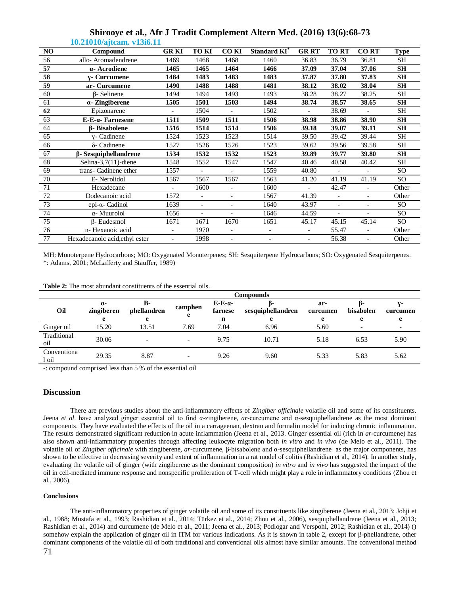|    | 10.21010/ajitam. VIJIO.II      |                          |                          |                          |                          |                          |                          |                          |                 |
|----|--------------------------------|--------------------------|--------------------------|--------------------------|--------------------------|--------------------------|--------------------------|--------------------------|-----------------|
| NO | <b>Compound</b>                | <b>GRKI</b>              | <b>TO KI</b>             | <b>COKI</b>              | Standard KI <sup>®</sup> | <b>GRRT</b>              | <b>TO RT</b>             | <b>CORT</b>              | <b>Type</b>     |
| 56 | allo-Aromadendrene             | 1469                     | 1468                     | 1468                     | 1460                     | 36.83                    | 36.79                    | 36.81                    | <b>SH</b>       |
| 57 | a-Acrodiene                    | 1465                     | 1465                     | 1464                     | 1466                     | 37.09                    | 37.04                    | 37.06                    | SH              |
| 58 | v- Curcumene                   | 1484                     | 1483                     | 1483                     | 1483                     | 37.87                    | 37.80                    | 37.83                    | <b>SH</b>       |
| 59 | ar- Curcumene                  | 1490                     | 1488                     | 1488                     | 1481                     | 38.12                    | 38.02                    | 38.04                    | SH              |
| 60 | β- Selinene                    | 1494                     | 1494                     | 1493                     | 1493                     | 38.28                    | 38.27                    | 38.25                    | <b>SH</b>       |
| 61 | a-Zingiberene                  | 1505                     | 1501                     | 1503                     | 1494                     | 38.74                    | 38.57                    | 38.65                    | <b>SH</b>       |
| 62 | Epizonarene                    | $\overline{\phantom{0}}$ | 1504                     | $\overline{\phantom{0}}$ | 1502                     | $\overline{\phantom{0}}$ | 38.69                    | $\overline{\phantom{0}}$ | <b>SH</b>       |
| 63 | $E-E-a-$ Farnesene             | 1511                     | 1509                     | 1511                     | 1506                     | 38.98                    | 38.86                    | 38.90                    | <b>SH</b>       |
| 64 | <b>ß</b> -Bisabolene           | 1516                     | 1514                     | 1514                     | 1506                     | 39.18                    | 39.07                    | 39.11                    | <b>SH</b>       |
| 65 | y- Cadinene                    | 1524                     | 1523                     | 1523                     | 1514                     | 39.50                    | 39.42                    | 39.44                    | <b>SH</b>       |
| 66 | $\delta$ - Cadinene            | 1527                     | 1526                     | 1526                     | 1523                     | 39.62                    | 39.56                    | 39.58                    | <b>SH</b>       |
| 67 | <b>B</b> -Sesquiphellandrene   | 1534                     | 1532                     | 1532                     | 1523                     | 39.89                    | 39.77                    | 39.80                    | SH              |
| 68 | Selina- $3,7(11)$ -diene       | 1548                     | 1552                     | 1547                     | 1547                     | 40.46                    | 40.58                    | 40.42                    | <b>SH</b>       |
| 69 | trans- Cadinene ether          | 1557                     | $\overline{\phantom{a}}$ | $\overline{\phantom{0}}$ | 1559                     | 40.80                    | $\overline{\phantom{a}}$ | $\qquad \qquad -$        | SO.             |
| 70 | E-Nerolidol                    | 1567                     | 1567                     | 1567                     | 1563                     | 41.20                    | 41.19                    | 41.19                    | SO <sub>1</sub> |
| 71 | Hexadecane                     |                          | 1600                     |                          | 1600                     | $\overline{\phantom{0}}$ | 42.47                    | $\overline{a}$           | Other           |
| 72 | Dodecanoic acid                | 1572                     | $\overline{\phantom{a}}$ | $\overline{\phantom{a}}$ | 1567                     | 41.39                    | $\overline{\phantom{a}}$ | $\overline{\phantom{a}}$ | Other           |
| 73 | $epi-a-$ Cadinol               | 1639                     | $\overline{\phantom{a}}$ |                          | 1640                     | 43.97                    | $\overline{\phantom{a}}$ | $\overline{\phantom{a}}$ | SO <sub>1</sub> |
| 74 | $\alpha$ - Muurolol            | 1656                     | $\overline{a}$           | $\overline{a}$           | 1646                     | 44.59                    | $\overline{\phantom{a}}$ | $\overline{\phantom{0}}$ | SO.             |
| 75 | β-Eudesmol                     | 1671                     | 1671                     | 1670                     | 1651                     | 45.17                    | 45.15                    | 45.14                    | SO.             |
| 76 | n-Hexanoic acid                | $\overline{\phantom{a}}$ | 1970                     | $\overline{\phantom{a}}$ | $\overline{\phantom{a}}$ | $\overline{\phantom{0}}$ | 55.47                    | $\overline{\phantom{a}}$ | Other           |
| 77 | Hexadecanoic acid, ethyl ester | $\overline{\phantom{a}}$ | 1998                     | $\overline{\phantom{0}}$ | $\overline{\phantom{0}}$ | $\overline{\phantom{0}}$ | 56.38                    | $\overline{\phantom{a}}$ | Other           |

## **Shirooye et al., Afr J Tradit Complement Altern Med. (2016) 13(6):68-73 10.21010/ajtcam. v13i6.11**

MH: Monoterpene Hydrocarbons; MO: Oxygenated Monoterpenes; SH: Sesquiterpene Hydrocarbons; SO: Oxygenated Sesquiterpenes. \*: Adams, 2001; McLafferty and Stauffer, 1989)

**Table 2:** The most abundant constituents of the essential oils.

|                      | <b>Compounds</b>              |                   |              |                               |                              |                      |                      |                     |  |
|----------------------|-------------------------------|-------------------|--------------|-------------------------------|------------------------------|----------------------|----------------------|---------------------|--|
| Oil                  | $\alpha$ -<br>zingiberen<br>e | В-<br>phellandren | camphen<br>e | $E-E-\alpha-$<br>farnese<br>n | ß-<br>sesquiphellandren<br>e | ar-<br>curcumen<br>e | в-<br>bisabolen<br>e | v-<br>curcumen<br>e |  |
| Ginger oil           | 15.20                         | 13.51             | 7.69         | 7.04                          | 6.96                         | 5.60                 |                      |                     |  |
| Traditional<br>oil   | 30.06                         |                   |              | 9.75                          | 10.71                        | 5.18                 | 6.53                 | 5.90                |  |
| Conventiona<br>1 oil | 29.35                         | 8.87              |              | 9.26                          | 9.60                         | 5.33                 | 5.83                 | 5.62                |  |

-: compound comprised less than 5 % of the essential oil

## **Discussion**

There are previous studies about the anti-inflammatory effects of *Zingiber officinale* volatile oil and some of its constituents. Jeena *et al*. have analyzed ginger essential oil to find α-zingiberene, *ar*-curcumene and α-sesquiphellandrene as the most dominant components. They have evaluated the effects of the oil in a carrageenan, dextran and formalin model for inducing chronic inflammation. The results demonstrated significant reduction in acute inflammation (Jeena et al., 2013. Ginger essential oil (rich in *ar*-curcumene) has also shown anti-inflammatory properties through affecting leukocyte migration both *in vitro* and *in vivo* (de Melo et al., 2011). The volatile oil of *Zingiber officinale* with zingiberene, *ar*-curcumene, β-bisabolene and α-sesquiphellandrene as the major components, has shown to be effective in decreasing severity and extent of inflammation in a rat model of colitis (Rashidian et al., 2014). In another study, evaluating the volatile oil of ginger (with zingiberene as the dominant composition) *in vitro* and *in vivo* has suggested the impact of the oil in cell-mediated immune response and nonspecific proliferation of T-cell which might play a role in inflammatory conditions (Zhou et al., 2006).

### **Conclusions**

The anti-inflammatory properties of ginger volatile oil and some of its constituents like zingiberene (Jeena et al., 2013; Johji et al., 1988; Mustafa et al., 1993; Rashidian et al., 2014; Türkez et al., 2014; Zhou et al., 2006), sesquiphellandrene (Jeena et al., 2013; Rashidian et al., 2014) and curcumene (de Melo et al., 2011; Jeena et al., 2013; Podlogar and Verspohl, 2012; Rashidian et al., 2014) () somehow explain the application of ginger oil in ITM for various indications. As it is shown in table 2, except for β-phellandrene, other dominant components of the volatile oil of both traditional and conventional oils almost have similar amounts. The conventional method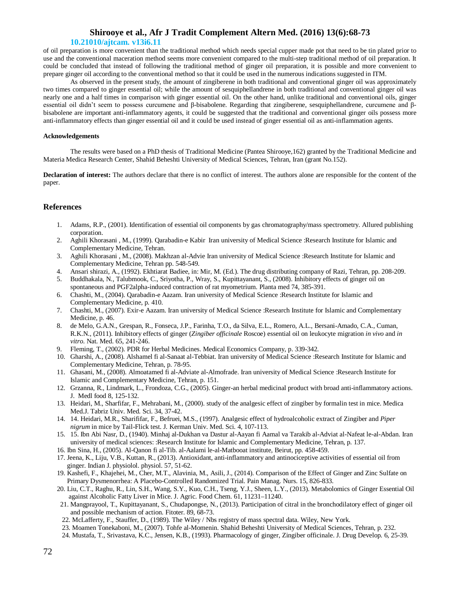## **Shirooye et al., Afr J Tradit Complement Altern Med. (2016) 13(6):68-73**

### **10.21010/ajtcam. v13i6.11**

of oil preparation is more convenient than the traditional method which needs special cupper made pot that need to be tin plated prior to use and the conventional maceration method seems more convenient compared to the multi-step traditional method of oil preparation. It could be concluded that instead of following the traditional method of ginger oil preparation, it is possible and more convenient to prepare ginger oil according to the conventional method so that it could be used in the numerous indications suggested in ITM.

As observed in the present study, the amount of zingiberene in both traditional and conventional ginger oil was approximately two times compared to ginger essential oil; while the amount of sesquiphellandrene in both traditional and conventional ginger oil was nearly one and a half times in comparison with ginger essential oil. On the other hand, unlike traditional and conventional oils, ginger essential oil didn't seem to possess curcumene and β-bisabolene. Regarding that zingiberene, sesquiphellandrene, curcumene and βbisabolene are important anti-inflammatory agents, it could be suggested that the traditional and conventional ginger oils possess more anti-inflammatory effects than ginger essential oil and it could be used instead of ginger essential oil as anti-inflammation agents.

### **Acknowledgements**

The results were based on a PhD thesis of Traditional Medicine (Pantea Shirooye,162) granted by the Traditional Medicine and Materia Medica Research Center, Shahid Beheshti University of Medical Sciences, Tehran, Iran (grant No.152).

**Declaration of interest:** The authors declare that there is no conflict of interest. The authors alone are responsible for the content of the paper.

### **References**

- 1. Adams, R.P., (2001). Identification of essential oil components by gas chromatography/mass spectrometry. Allured publishing corporation.
- 2. Aghili Khorasani , M., (1999). Qarabadin-e Kabir Iran university of Medical Science :Research Institute for Islamic and Complementary Medicine, Tehran.
- 3. Aghili Khorasani , M., (2008). Makhzan al-Advie Iran university of Medical Science :Research Institute for Islamic and Complementary Medicine, Tehran pp. 548-549.
- 4. Ansari shirazi, A., (1992). Ekhtiarat Badiee, in: Mir, M. (Ed.). The drug distributing company of Razi, Tehran, pp. 208-209.
- 5. Buddhakala, N., Talubmook, C., Sriyotha, P., Wray, S., Kupittayanant, S., (2008). Inhibitory effects of ginger oil on spontaneous and PGF2alpha-induced contraction of rat myometrium. Planta med 74, 385-391.
- 6. Chashti, M., (2004). Qarabadin-e Aazam. Iran university of Medical Science :Research Institute for Islamic and Complementary Medicine, p. 410.
- 7. Chashti, M., (2007). Exir-e Aazam. Iran university of Medical Science :Research Institute for Islamic and Complementary Medicine, p. 46.
- 8. de Melo, G.A.N., Grespan, R., Fonseca, J.P., Farinha, T.O., da Silva, E.L., Romero, A.L., Bersani-Amado, C.A., Cuman, R.K.N., (2011). Inhibitory effects of ginger (*Zingiber officinale* Roscoe) essential oil on leukocyte migration *in vivo* and *in vitro*. Nat. Med. 65, 241-246.
- 9. Fleming, T., (2002). PDR for Herbal Medicines. Medical Economics Company, p. 339-342.
- 10. Gharshi, A., (2008). Alshamel fi al-Sanaat al-Tebbiat. Iran university of Medical Science :Research Institute for Islamic and Complementary Medicine, Tehran, p. 78-95.
- 11. Ghasani, M., (2008). Almoatamed fi al-Adviate al-Almofrade. Iran university of Medical Science :Research Institute for Islamic and Complementary Medicine, Tehran, p. 151.
- 12. Grzanna, R., Lindmark, L., Frondoza, C.G., (2005). Ginger-an herbal medicinal product with broad anti-inflammatory actions. J. Medl food 8, 125-132.
- 13. Heidari, M., Sharfifar, F., Mehrabani, M., (2000). study of the analgesic effect of zingiber by formalin test in mice. Medica Med.J. Tabriz Univ. Med. Sci. 34, 37-42.
- 14. 14. Heidari, M.R., Sharififar, F., Befruei, M.S., (1997). Analgesic effect of hydroalcoholic extract of Zingiber and *Piper nigrum* in mice by Tail-Flick test. J. Kerman Univ. Med. Sci. 4, 107-113.
- 15. 15. Ibn Abi Nasr, D., (1940). Minhaj al-Dukhan va Dastur al-Aayan fi Aamal va Tarakib al-Adviat al-Nafeat le-al-Abdan. Iran university of medical sciences: :Research Institute for Islamic and Complementary Medicine, Tehran, p. 137.
- 16. Ibn Sina, H., (2005). Al-Qanon fi al-Tib. al-Aalami le-al-Matbooat institute, Beirut, pp. 458-459.
- 17. Jeena, K., Liju, V.B., Kuttan, R., (2013). Antioxidant, anti-inflammatory and antinociceptive activities of essential oil from ginger. Indian J. physiolol. physiol. 57, 51-62.
- 19. Kashefi, F., Khajehei, M., Cher, M.T., Alavinia, M., Asili, J., (2014). Comparison of the Effect of Ginger and Zinc Sulfate on Primary Dysmenorrhea: A Placebo-Controlled Randomized Trial. Pain Manag. Nurs. 15, 826-833.
- 20. Liu, C.T., Raghu, R., Lin, S.H., Wang, S.Y., Kuo, C.H., Tseng, Y.J., Sheen, L.Y., (2013). Metabolomics of Ginger Essential Oil against Alcoholic Fatty Liver in Mice. J. Agric. Food Chem. 61, 11231–11240.
- 21. Mangprayool, T., Kupittayanant, S., Chudapongse, N., (2013). Participation of citral in the bronchodilatory effect of ginger oil and possible mechanism of action. Fitoter. 89, 68-73.
- 22. McLafferty, F., Stauffer, D., (1989). The Wiley / Nbs registry of mass spectral data. Wiley, New York.
- 23. Moamen Tonekaboni, M., (2007). Tohfe al-Momenin. Shahid Beheshti University of Medical Sciences, Tehran, p. 232.
- 24. Mustafa, T., Srivastava, K.C., Jensen, K.B., (1993). Pharmacology of ginger, Zingiber officinale. J. Drug Develop. 6, 25-39.